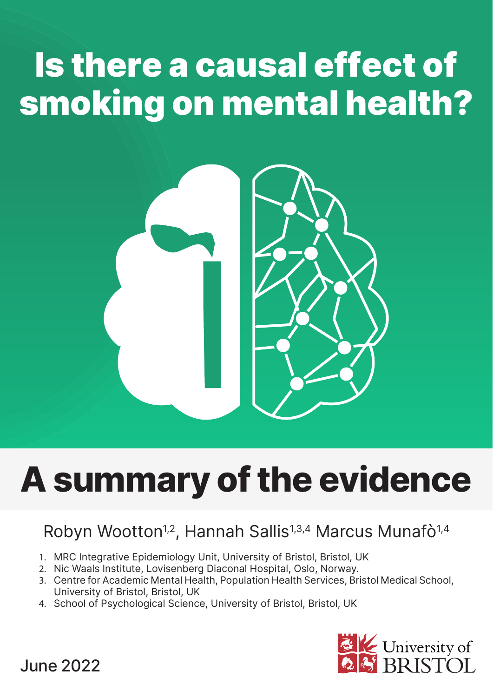# Is there a causal effect of smoking on mental health?



# **A summary ofthe evidence**

### Robyn Wootton<sup>1,2</sup>, Hannah Sallis<sup>1,3,4</sup> Marcus Munafò<sup>1,4</sup>

- 1. MRC Integrative Epidemiology Unit, University of Bristol, Bristol, UK
- 2. Nic Waals Institute, Lovisenberg Diaconal Hospital, Oslo, Norway.
- 3. Centre for Academic Mental Health, Population Health Services, Bristol Medical School, University of Bristol, Bristol, UK
- 4. School of Psychological Science, University of Bristol, Bristol, UK



June 2022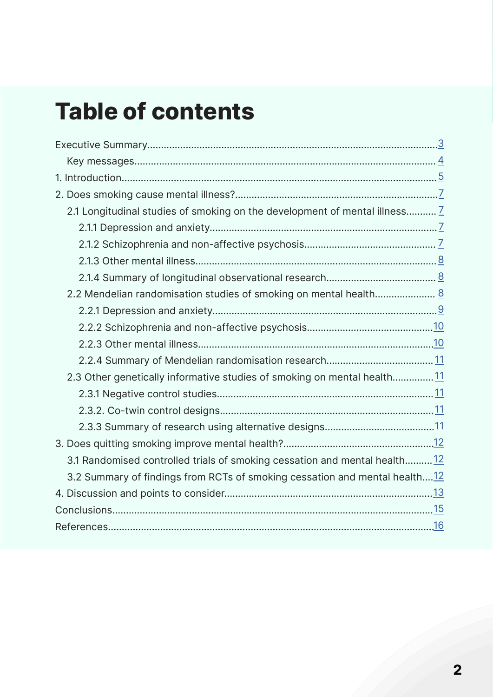### **Table of contents**

| 2.1 Longitudinal studies of smoking on the development of mental illness Z |  |
|----------------------------------------------------------------------------|--|
|                                                                            |  |
|                                                                            |  |
|                                                                            |  |
|                                                                            |  |
| 2.2 Mendelian randomisation studies of smoking on mental health 8          |  |
|                                                                            |  |
|                                                                            |  |
|                                                                            |  |
|                                                                            |  |
| 2.3 Other genetically informative studies of smoking on mental health11    |  |
|                                                                            |  |
|                                                                            |  |
|                                                                            |  |
|                                                                            |  |
| 3.1 Randomised controlled trials of smoking cessation and mental health12  |  |
| 3.2 Summary of findings from RCTs of smoking cessation and mental health12 |  |
|                                                                            |  |
|                                                                            |  |
|                                                                            |  |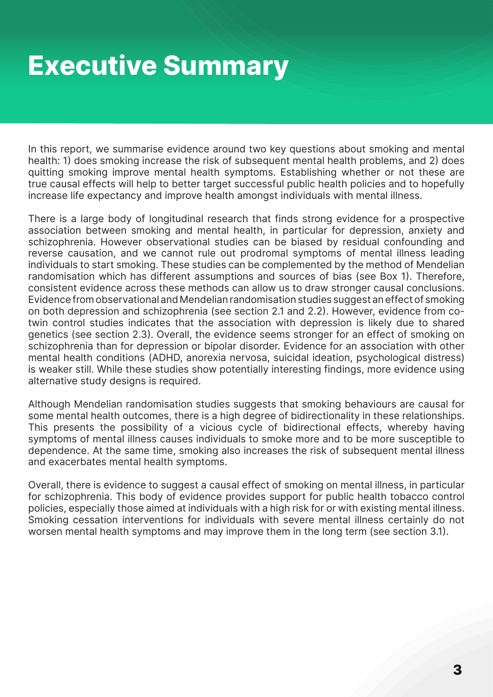## <span id="page-2-0"></span>**Executive Summary**

In this report, we summarise evidence around two key questions about smoking and mental health: 1) does smoking increase the risk of subsequent mental health problems, and 2) does quitting smoking improve mental health symptoms. Establishing whether or not these are true causal effects will help to better target successful public health policies and to hopefully increase life expectancy and improve health amongst individuals with mental illness.

There is a large body of longitudinal research that finds strong evidence for a prospective association between smoking and mental health, in particular for depression, anxiety and schizophrenia. However observational studies can be biased by residual confounding and reverse causation, and we cannot rule out prodromal symptoms of mental illness leading individuals to start smoking. These studies can be complemented by the method of Mendelian randomisation which has different assumptions and sources of bias (see Box 1). Therefore, consistent evidence across these methods can allow us to draw stronger causal conclusions. Evidence from observational and Mendelian randomisation studies suggest an effect of smoking on both depression and schizophrenia (see section 2.1 and 2.2). However, evidence from cotwin control studies indicates that the association with depression is likely due to shared genetics (see section 2.3). Overall, the evidence seems stronger for an effect of smoking on schizophrenia than for depression or bipolar disorder. Evidence for an association with other mental health conditions (ADHD, anorexia nervosa, suicidal ideation, psychological distress) is weaker still. While these studies show potentially interesting findings, more evidence using alternative study designs is required.

Although Mendelian randomisation studies suggests that smoking behaviours are causal for some mental health outcomes, there is a high degree of bidirectionality in these relationships. This presents the possibility of a vicious cycle of bidirectional effects, whereby having symptoms of mental illness causes individuals to smoke more and to be more susceptible to dependence. At the same time, smoking also increases the risk of subsequent mental illness and exacerbates mental health symptoms.

Overall, there is evidence to suggest a causal effect of smoking on mental illness, in particular for schizophrenia. This body of evidence provides support for public health tobacco control policies, especially those aimed at individuals with a high risk for or with existing mental illness. Smoking cessation interventions for individuals with severe mental illness certainly do not worsen mental health symptoms and may improve them in the long term (see section 3.1).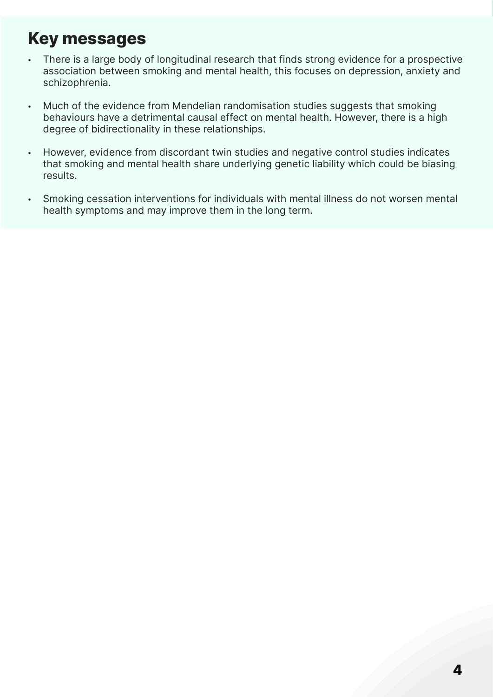### <span id="page-3-0"></span>**Key messages**

- There is a large body of longitudinal research that finds strong evidence for a prospective association between smoking and mental health, this focuses on depression, anxiety and schizophrenia.
- Much of the evidence from Mendelian randomisation studies suggests that smoking behaviours have a detrimental causal effect on mental health. However, there is a high degree of bidirectionality in these relationships.
- However, evidence from discordant twin studies and negative control studies indicates that smoking and mental health share underlying genetic liability which could be biasing results.
- Smoking cessation interventions for individuals with mental illness do not worsen mental health symptoms and may improve them in the long term.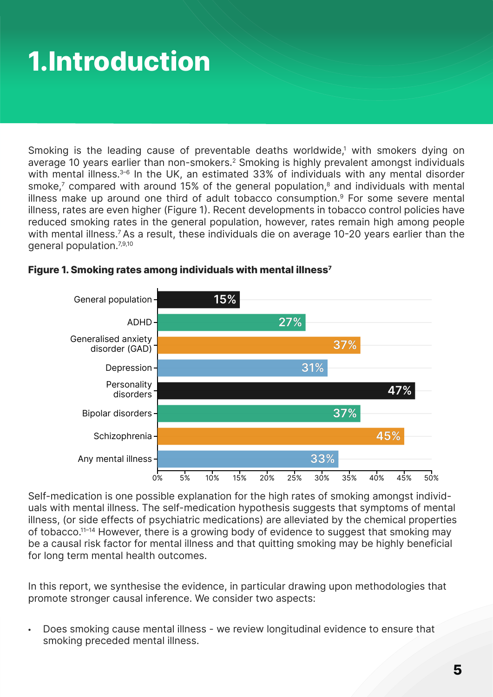## <span id="page-4-0"></span>**1.Introduction**

Smoking is the leading cause of preventable deaths worldwide,<sup>1</sup> with smokers dying on average 10 years earlier than non-smokers.<sup>2</sup> Smoking is highly prevalent amongst individuals with mental illness.<sup>3-6</sup> In the UK, an estimated 33% of individuals with any mental disorder smoke,<sup>7</sup> compared with around 15% of the general population, $^8$  and individuals with mental illness make up around one third of adult tobacco consumption.9 For some severe mental illness, rates are even higher (Figure 1). Recent developments in tobacco control policies have reduced smoking rates in the general population, however, rates remain high among people with mental illness.<sup>7</sup> As a result, these individuals die on average 10-20 years earlier than the general population.7,9,10



#### **Figure 1. Smoking rates among individuals with mental illness7**

Self-medication is one possible explanation for the high rates of smoking amongst individuals with mental illness. The self-medication hypothesis suggests that symptoms of mental illness, (or side effects of psychiatric medications) are alleviated by the chemical properties of tobacco.<sup>11-14</sup> However, there is a growing body of evidence to suggest that smoking may be a causal risk factor for mental illness and that quitting smoking may be highly beneficial for long term mental health outcomes.

In this report, we synthesise the evidence, in particular drawing upon methodologies that promote stronger causal inference. We consider two aspects:

• Does smoking cause mental illness - we review longitudinal evidence to ensure that smoking preceded mental illness.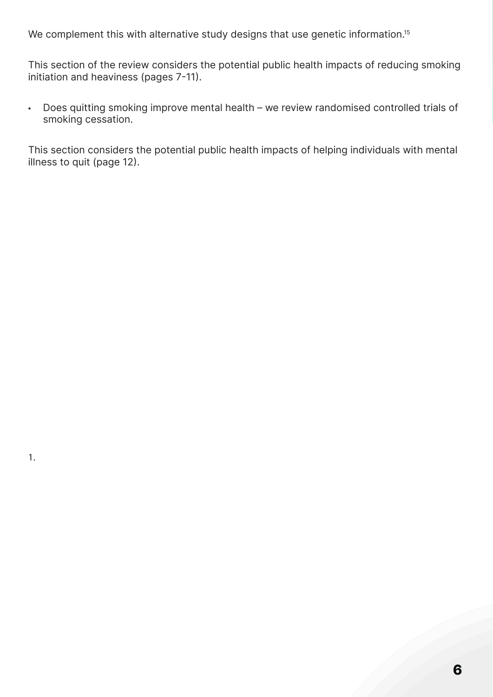We complement this with alternative study designs that use genetic information.<sup>15</sup>

This section of the review considers the potential public health impacts of reducing smoking initiation and heaviness (pages 7-11).

• Does quitting smoking improve mental health – we review randomised controlled trials of smoking cessation.

This section considers the potential public health impacts of helping individuals with mental illness to quit (page 12).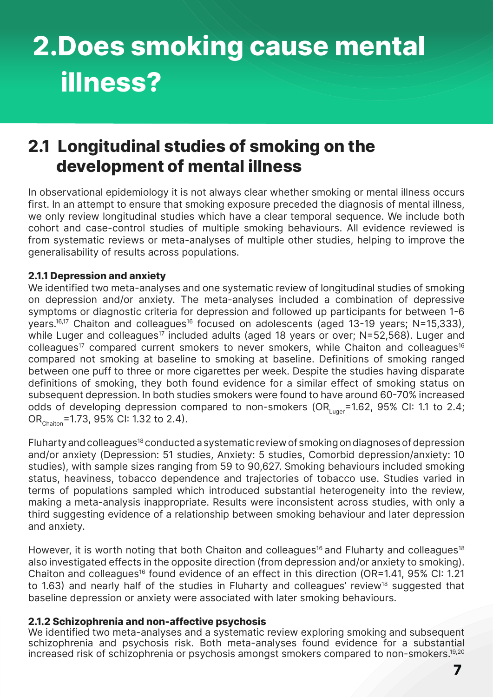## <span id="page-6-0"></span>**2.Does smoking cause mental illness?**

### **2.1 Longitudinal studies of smoking on the development of mental illness**

In observational epidemiology it is not always clear whether smoking or mental illness occurs first. In an attempt to ensure that smoking exposure preceded the diagnosis of mental illness, we only review longitudinal studies which have a clear temporal sequence. We include both cohort and case-control studies of multiple smoking behaviours. All evidence reviewed is from systematic reviews or meta-analyses of multiple other studies, helping to improve the generalisability of results across populations.

#### **2.1.1 Depression and anxiety**

We identified two meta-analyses and one systematic review of longitudinal studies of smoking on depression and/or anxiety. The meta-analyses included a combination of depressive symptoms or diagnostic criteria for depression and followed up participants for between 1-6 years.<sup>16,17</sup> Chaiton and colleagues<sup>16</sup> focused on adolescents (aged 13-19 years; N=15,333), while Luger and colleagues<sup>17</sup> included adults (aged 18 years or over;  $N=52,568$ ). Luger and  $colle$  colleagues<sup>17</sup> compared current smokers to never smokers, while Chaiton and colleagues<sup>16</sup> compared not smoking at baseline to smoking at baseline. Definitions of smoking ranged between one puff to three or more cigarettes per week. Despite the studies having disparate definitions of smoking, they both found evidence for a similar effect of smoking status on subsequent depression. In both studies smokers were found to have around 60-70% increased odds of developing depression compared to non-smokers (OR $_{\text{Luger}}$ =1.62, 95% CI: 1.1 to 2.4; OR<sub>Chaiton</sub>=1.73, 95% CI: 1.32 to 2.4).

Fluharty and colleagues18 conducted a systematic review of smoking on diagnoses of depression and/or anxiety (Depression: 51 studies, Anxiety: 5 studies, Comorbid depression/anxiety: 10 studies), with sample sizes ranging from 59 to 90,627. Smoking behaviours included smoking status, heaviness, tobacco dependence and trajectories of tobacco use. Studies varied in terms of populations sampled which introduced substantial heterogeneity into the review, making a meta-analysis inappropriate. Results were inconsistent across studies, with only a third suggesting evidence of a relationship between smoking behaviour and later depression and anxiety.

However, it is worth noting that both Chaiton and colleagues<sup>16</sup> and Fluharty and colleagues<sup>18</sup> also investigated effects in the opposite direction (from depression and/or anxiety to smoking). Chaiton and colleagues<sup>16</sup> found evidence of an effect in this direction (OR=1.41, 95% CI: 1.21 to 1.63) and nearly half of the studies in Fluharty and colleagues' review<sup>18</sup> suggested that baseline depression or anxiety were associated with later smoking behaviours.

#### **2.1.2 Schizophrenia and non-affective psychosis**

We identified two meta-analyses and a systematic review exploring smoking and subsequent schizophrenia and psychosis risk. Both meta-analyses found evidence for a substantial increased risk of schizophrenia or psychosis amongst smokers compared to non-smokers.19,20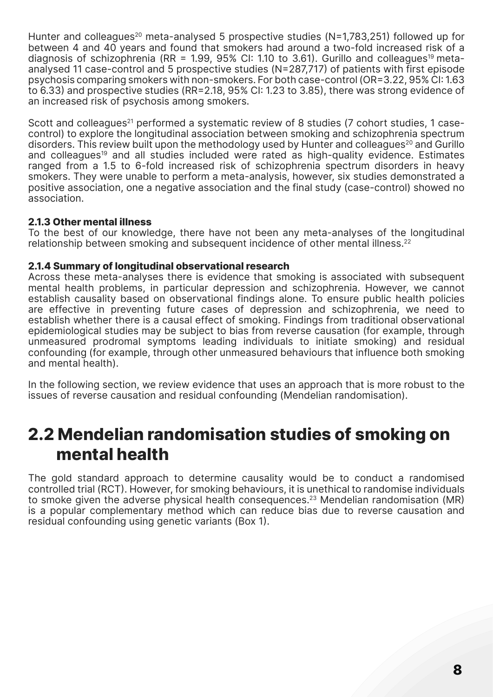<span id="page-7-0"></span>Hunter and colleagues<sup>20</sup> meta-analysed 5 prospective studies (N=1,783,251) followed up for between 4 and 40 years and found that smokers had around a two-fold increased risk of a diagnosis of schizophrenia (RR = 1.99, 95% CI: 1.10 to 3.61). Gurillo and colleagues<sup>19</sup> metaanalysed 11 case-control and 5 prospective studies (N=287,717) of patients with first episode psychosis comparing smokers with non-smokers. For both case-control (OR=3.22, 95% CI: 1.63 to 6.33) and prospective studies (RR=2.18, 95% CI: 1.23 to 3.85), there was strong evidence of an increased risk of psychosis among smokers.

Scott and colleagues<sup>21</sup> performed a systematic review of 8 studies (7 cohort studies, 1 casecontrol) to explore the longitudinal association between smoking and schizophrenia spectrum disorders. This review built upon the methodology used by Hunter and colleagues<sup>20</sup> and Gurillo and colleagues<sup>19</sup> and all studies included were rated as high-quality evidence. Estimates ranged from a 1.5 to 6-fold increased risk of schizophrenia spectrum disorders in heavy smokers. They were unable to perform a meta-analysis, however, six studies demonstrated a positive association, one a negative association and the final study (case-control) showed no association.

#### **2.1.3 Other mental illness**

To the best of our knowledge, there have not been any meta-analyses of the longitudinal relationship between smoking and subsequent incidence of other mental illness.<sup>22</sup>

#### **2.1.4 Summary of longitudinal observational research**

Across these meta-analyses there is evidence that smoking is associated with subsequent mental health problems, in particular depression and schizophrenia. However, we cannot establish causality based on observational findings alone. To ensure public health policies are effective in preventing future cases of depression and schizophrenia, we need to establish whether there is a causal effect of smoking. Findings from traditional observational epidemiological studies may be subject to bias from reverse causation (for example, through unmeasured prodromal symptoms leading individuals to initiate smoking) and residual confounding (for example, through other unmeasured behaviours that influence both smoking and mental health).

In the following section, we review evidence that uses an approach that is more robust to the issues of reverse causation and residual confounding (Mendelian randomisation).

### **2.2 Mendelian randomisation studies of smoking on mental health**

The gold standard approach to determine causality would be to conduct a randomised controlled trial (RCT). However, for smoking behaviours, it is unethical to randomise individuals to smoke given the adverse physical health consequences.<sup>23</sup> Mendelian randomisation (MR) is a popular complementary method which can reduce bias due to reverse causation and residual confounding using genetic variants (Box 1).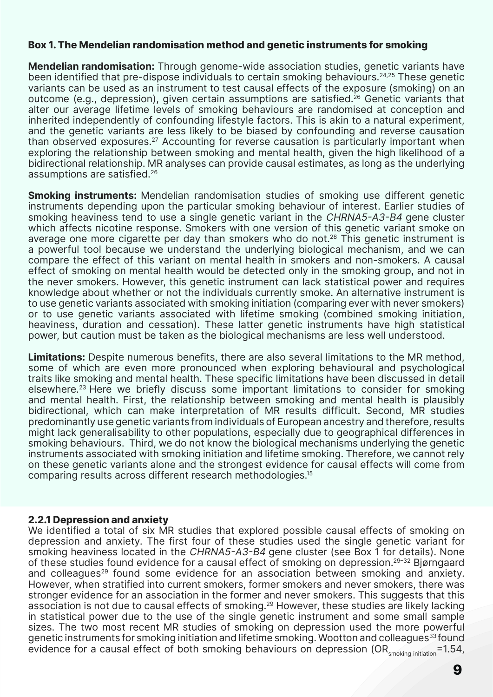#### <span id="page-8-0"></span>**Box 1. The Mendelian randomisation method and genetic instruments for smoking**

**Mendelian randomisation:** Through genome-wide association studies, genetic variants have been identified that pre-dispose individuals to certain smoking behaviours.<sup>24,25</sup> These genetic variants can be used as an instrument to test causal effects of the exposure (smoking) on an outcome (e.g., depression), given certain assumptions are satisfied.<sup>26</sup> Genetic variants that alter our average lifetime levels of smoking behaviours are randomised at conception and inherited independently of confounding lifestyle factors. This is akin to a natural experiment, and the genetic variants are less likely to be biased by confounding and reverse causation than observed exposures.27 Accounting for reverse causation is particularly important when exploring the relationship between smoking and mental health, given the high likelihood of a bidirectional relationship. MR analyses can provide causal estimates, as long as the underlying assumptions are satisfied.26

**Smoking instruments:** Mendelian randomisation studies of smoking use different genetic instruments depending upon the particular smoking behaviour of interest. Earlier studies of smoking heaviness tend to use a single genetic variant in the CHRNA5-A3-B4 gene cluster which affects nicotine response. Smokers with one version of this genetic variant smoke on average one more cigarette per day than smokers who do not.<sup>28</sup> This genetic instrument is a powerful tool because we understand the underlying biological mechanism, and we can compare the effect of this variant on mental health in smokers and non-smokers. A causal effect of smoking on mental health would be detected only in the smoking group, and not in the never smokers. However, this genetic instrument can lack statistical power and requires knowledge about whether or not the individuals currently smoke. An alternative instrument is to use genetic variants associated with smoking initiation (comparing ever with never smokers) or to use genetic variants associated with lifetime smoking (combined smoking initiation, heaviness, duration and cessation). These latter genetic instruments have high statistical power, but caution must be taken as the biological mechanisms are less well understood.

**Limitations:** Despite numerous benefits, there are also several limitations to the MR method, some of which are even more pronounced when exploring behavioural and psychological traits like smoking and mental health. These specific limitations have been discussed in detail elsewhere.23 Here we briefly discuss some important limitations to consider for smoking and mental health. First, the relationship between smoking and mental health is plausibly bidirectional, which can make interpretation of MR results difficult. Second, MR studies predominantly use genetic variants from individuals of European ancestry and therefore, results might lack generalisability to other populations, especially due to geographical differences in smoking behaviours. Third, we do not know the biological mechanisms underlying the genetic instruments associated with smoking initiation and lifetime smoking. Therefore, we cannot rely on these genetic variants alone and the strongest evidence for causal effects will come from comparing results across different research methodologies.15

#### **2.2.1 Depression and anxiety**

We identified a total of six MR studies that explored possible causal effects of smoking on depression and anxiety. The first four of these studies used the single genetic variant for smoking heaviness located in the CHRNA5-A3-B4 gene cluster (see Box 1 for details). None of these studies found evidence for a causal effect of smoking on depression.29–32 Bjørngaard and colleagues<sup>29</sup> found some evidence for an association between smoking and anxiety. However, when stratified into current smokers, former smokers and never smokers, there was stronger evidence for an association in the former and never smokers. This suggests that this association is not due to causal effects of smoking.<sup>29</sup> However, these studies are likely lacking in statistical power due to the use of the single genetic instrument and some small sample sizes. The two most recent MR studies of smoking on depression used the more powerful genetic instruments for smoking initiation and lifetime smoking. Wootton and colleagues<sup>33</sup> found evidence for a causal effect of both smoking behaviours on depression (OR<sub>smoking initiation</sub>=1.54,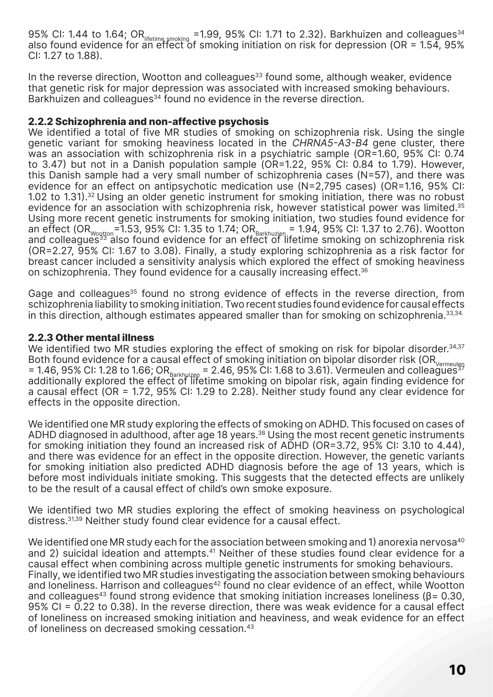<span id="page-9-0"></span>95% CI: 1.44 to 1.64; OR $_{\text{lifetime, smoking}}$  = 1.99, 95% CI: 1.71 to 2.32). Barkhuizen and colleagues<sup>34</sup> also found evidence for an effect of smoking initiation on risk for depression (OR = 1.54, 95% CI: 1.27 to 1.88).

In the reverse direction, Wootton and colleagues<sup>33</sup> found some, although weaker, evidence that genetic risk for major depression was associated with increased smoking behaviours. Barkhuizen and colleagues<sup>34</sup> found no evidence in the reverse direction.

#### **2.2.2 Schizophrenia and non-affective psychosis**

We identified a total of five MR studies of smoking on schizophrenia risk. Using the single genetic variant for smoking heaviness located in the CHRNA5-A3-B4 gene cluster, there was an association with schizophrenia risk in a psychiatric sample (OR=1.60, 95% CI: 0.74 to 3.47) but not in a Danish population sample (OR=1.22, 95% CI: 0.84 to 1.79). However, this Danish sample had a very small number of schizophrenia cases (N=57), and there was evidence for an effect on antipsychotic medication use (N=2,795 cases) (OR=1.16, 95% CI: 1.02 to 1.31).<sup>32</sup> Using an older genetic instrument for smoking initiation, there was no robust evidence for an association with schizophrenia risk, however statistical power was limited.<sup>35</sup> Using more recent genetic instruments for smoking initiation, two studies found evidence for an effect (OR $_{\rm wogton}$ =1.53, 95% CI: 1.35 to 1.74; OR $_{\rm Barkhuzien}$  = 1.94, 95% CI: 1.37 to 2.76). Wootton and colleagues<sup>33</sup> also found evidence for an effect of lifetime smoking on schizophrenia risk (OR=2.27, 95% CI: 1.67 to 3.08). Finally, a study exploring schizophrenia as a risk factor for breast cancer included a sensitivity analysis which explored the effect of smoking heaviness on schizophrenia. They found evidence for a causally increasing effect.36

Gage and colleagues<sup>35</sup> found no strong evidence of effects in the reverse direction, from schizophrenia liability to smoking initiation. Two recent studies found evidence for causal effects in this direction, although estimates appeared smaller than for smoking on schizophrenia. 33,34.

#### **2.2.3 Other mental illness**

We identified two MR studies exploring the effect of smoking on risk for bipolar disorder.<sup>34,37</sup> Both found evidence for a causal effect of smoking initiation on bipolar disorder risk (OR<sub>Vermeulen</sub>) = 1.46, 95% CI: 1.28 to 1.66; OR $_{\text{Barkhulizen}}$  = 2.46, 95% CI: 1.68 to 3.61). Vermeulen and colleagues<sup>37</sup> additionally explored the effect of lifetime smoking on bipolar risk, again finding evidence for a causal effect (OR = 1.72, 95% CI: 1.29 to 2.28). Neither study found any clear evidence for effects in the opposite direction.

We identified one MR study exploring the effects of smoking on ADHD. This focused on cases of ADHD diagnosed in adulthood, after age 18 years.<sup>38</sup> Using the most recent genetic instruments for smoking initiation they found an increased risk of ADHD (OR=3.72, 95% CI: 3.10 to 4.44), and there was evidence for an effect in the opposite direction. However, the genetic variants for smoking initiation also predicted ADHD diagnosis before the age of 13 years, which is before most individuals initiate smoking. This suggests that the detected effects are unlikely to be the result of a causal effect of child's own smoke exposure.

We identified two MR studies exploring the effect of smoking heaviness on psychological distress.31,39 Neither study found clear evidence for a causal effect.

We identified one MR study each for the association between smoking and 1) anorexia nervosa<sup>40</sup> and 2) suicidal ideation and attempts.<sup>41</sup> Neither of these studies found clear evidence for a causal effect when combining across multiple genetic instruments for smoking behaviours. Finally, we identified two MR studies investigating the association between smoking behaviours and loneliness. Harrison and colleagues<sup>42</sup> found no clear evidence of an effect, while Wootton and colleagues<sup>43</sup> found strong evidence that smoking initiation increases loneliness ( $\beta$ = 0.30, 95% CI = 0.22 to 0.38). In the reverse direction, there was weak evidence for a causal effect of loneliness on increased smoking initiation and heaviness, and weak evidence for an effect of loneliness on decreased smoking cessation.43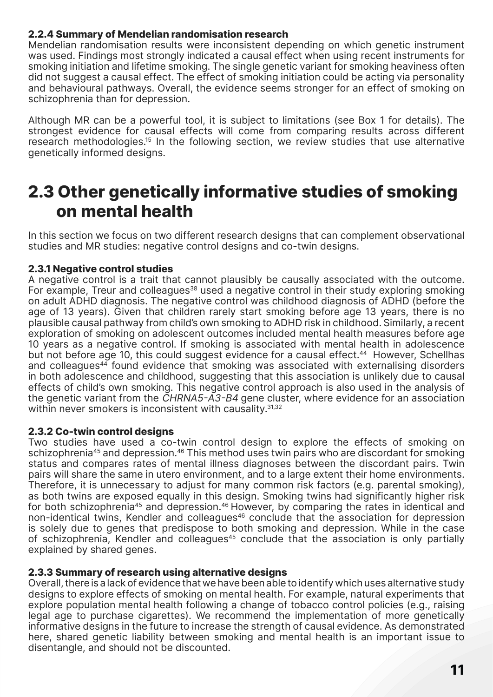#### <span id="page-10-0"></span>**2.2.4 Summary of Mendelian randomisation research**

Mendelian randomisation results were inconsistent depending on which genetic instrument was used. Findings most strongly indicated a causal effect when using recent instruments for smoking initiation and lifetime smoking. The single genetic variant for smoking heaviness often did not suggest a causal effect. The effect of smoking initiation could be acting via personality and behavioural pathways. Overall, the evidence seems stronger for an effect of smoking on schizophrenia than for depression.

Although MR can be a powerful tool, it is subject to limitations (see Box 1 for details). The strongest evidence for causal effects will come from comparing results across different research methodologies.<sup>15</sup> In the following section, we review studies that use alternative genetically informed designs.

### **2.3 Other genetically informative studies of smoking on mental health**

In this section we focus on two different research designs that can complement observational studies and MR studies: negative control designs and co-twin designs.

#### **2.3.1 Negative control studies**

A negative control is a trait that cannot plausibly be causally associated with the outcome. For example, Treur and colleagues<sup>38</sup> used a negative control in their study exploring smoking on adult ADHD diagnosis. The negative control was childhood diagnosis of ADHD (before the age of 13 years). Given that children rarely start smoking before age 13 years, there is no plausible causal pathway from child's own smoking to ADHD risk in childhood. Similarly, a recent exploration of smoking on adolescent outcomes included mental health measures before age 10 years as a negative control. If smoking is associated with mental health in adolescence but not before age 10, this could suggest evidence for a causal effect.<sup>44</sup> However, Schellhas and colleagues<sup>44</sup> found evidence that smoking was associated with externalising disorders in both adolescence and childhood, suggesting that this association is unlikely due to causal effects of child's own smoking. This negative control approach is also used in the analysis of the genetic variant from the CHRNA5-A3-B4 gene cluster, where evidence for an association within never smokers is inconsistent with causality.<sup>31,32</sup>

#### **2.3.2 Co-twin control designs**

Two studies have used a co-twin control design to explore the effects of smoking on schizophrenia<sup>45</sup> and depression.<sup>46</sup> This method uses twin pairs who are discordant for smoking status and compares rates of mental illness diagnoses between the discordant pairs. Twin pairs will share the same in utero environment, and to a large extent their home environments. Therefore, it is unnecessary to adjust for many common risk factors (e.g. parental smoking), as both twins are exposed equally in this design. Smoking twins had significantly higher risk for both schizophrenia<sup>45</sup> and depression.<sup>46</sup> However, by comparing the rates in identical and non-identical twins, Kendler and colleagues<sup>46</sup> conclude that the association for depression is solely due to genes that predispose to both smoking and depression. While in the case of schizophrenia, Kendler and colleagues<sup>45</sup> conclude that the association is only partially explained by shared genes.

#### **2.3.3 Summary of research using alternative designs**

Overall, there is a lack of evidence that we have been able to identify which uses alternative study designs to explore effects of smoking on mental health. For example, natural experiments that explore population mental health following a change of tobacco control policies (e.g., raising legal age to purchase cigarettes). We recommend the implementation of more genetically informative designs in the future to increase the strength of causal evidence. As demonstrated here, shared genetic liability between smoking and mental health is an important issue to disentangle, and should not be discounted.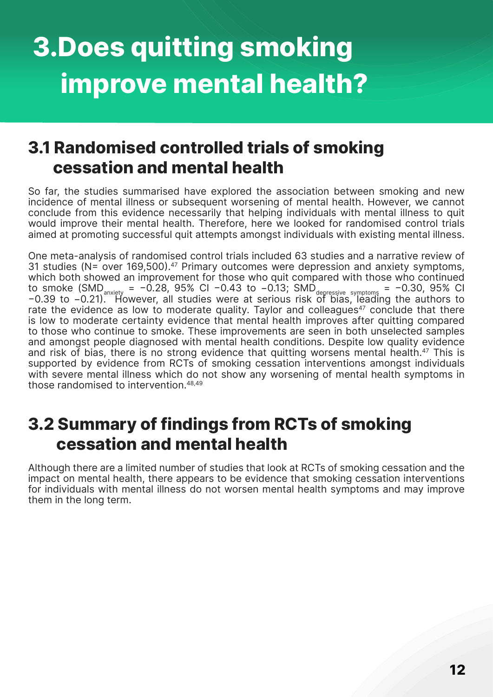## <span id="page-11-0"></span>**3.Does quitting smoking improve mental health?**

### **3.1 Randomised controlled trials of smoking cessation and mental health**

So far, the studies summarised have explored the association between smoking and new incidence of mental illness or subsequent worsening of mental health. However, we cannot conclude from this evidence necessarily that helping individuals with mental illness to quit would improve their mental health. Therefore, here we looked for randomised control trials aimed at promoting successful quit attempts amongst individuals with existing mental illness.

One meta-analysis of randomised control trials included 63 studies and a narrative review of 31 studies (N= over 169,500).<sup>47</sup> Primary outcomes were depression and anxiety symptoms, which both showed an improvement for those who quit compared with those who continued to smoke (SMD<sub>anxiety</sub> = −0.28, 95% CI −0.43 to −0.13; SMD<sub>depressive symptoms</sub> = −0.30, 95% CI −0.39 to −0.21). However, all studies were at serious risk of bias, leading the authors to rate the evidence as low to moderate quality. Taylor and colleagues $47$  conclude that there is low to moderate certainty evidence that mental health improves after quitting compared to those who continue to smoke. These improvements are seen in both unselected samples and amongst people diagnosed with mental health conditions. Despite low quality evidence and risk of bias, there is no strong evidence that quitting worsens mental health.<sup>47</sup> This is supported by evidence from RCTs of smoking cessation interventions amongst individuals with severe mental illness which do not show any worsening of mental health symptoms in those randomised to intervention.48,49

### **3.2 Summary of findings from RCTs of smoking cessation and mental health**

Although there are a limited number of studies that look at RCTs of smoking cessation and the impact on mental health, there appears to be evidence that smoking cessation interventions for individuals with mental illness do not worsen mental health symptoms and may improve them in the long term.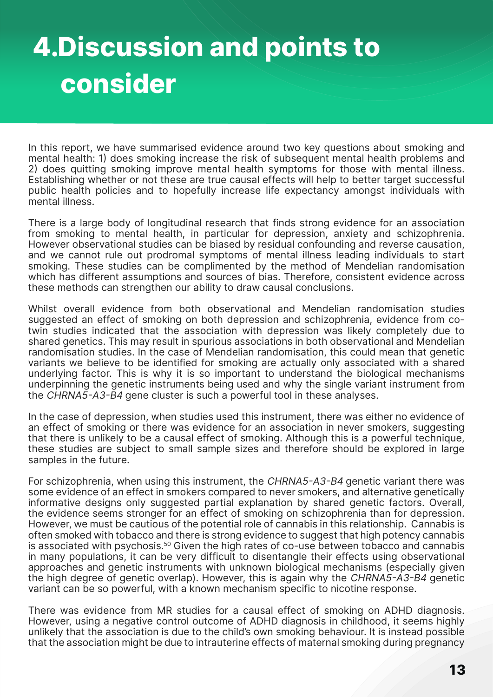## <span id="page-12-0"></span>**4.Discussion and points to consider**

In this report, we have summarised evidence around two key questions about smoking and mental health: 1) does smoking increase the risk of subsequent mental health problems and 2) does quitting smoking improve mental health symptoms for those with mental illness. Establishing whether or not these are true causal effects will help to better target successful public health policies and to hopefully increase life expectancy amongst individuals with mental illness.

There is a large body of longitudinal research that finds strong evidence for an association from smoking to mental health, in particular for depression, anxiety and schizophrenia. However observational studies can be biased by residual confounding and reverse causation, and we cannot rule out prodromal symptoms of mental illness leading individuals to start smoking. These studies can be complimented by the method of Mendelian randomisation which has different assumptions and sources of bias. Therefore, consistent evidence across these methods can strengthen our ability to draw causal conclusions.

Whilst overall evidence from both observational and Mendelian randomisation studies suggested an effect of smoking on both depression and schizophrenia, evidence from cotwin studies indicated that the association with depression was likely completely due to shared genetics. This may result in spurious associations in both observational and Mendelian randomisation studies. In the case of Mendelian randomisation, this could mean that genetic variants we believe to be identified for smoking are actually only associated with a shared underlying factor. This is why it is so important to understand the biological mechanisms underpinning the genetic instruments being used and why the single variant instrument from the CHRNA5-A3-B4 gene cluster is such a powerful tool in these analyses.

In the case of depression, when studies used this instrument, there was either no evidence of an effect of smoking or there was evidence for an association in never smokers, suggesting that there is unlikely to be a causal effect of smoking. Although this is a powerful technique, these studies are subject to small sample sizes and therefore should be explored in large samples in the future.

For schizophrenia, when using this instrument, the CHRNA5-A3-B4 genetic variant there was some evidence of an effect in smokers compared to never smokers, and alternative genetically informative designs only suggested partial explanation by shared genetic factors. Overall, the evidence seems stronger for an effect of smoking on schizophrenia than for depression. However, we must be cautious of the potential role of cannabis in this relationship. Cannabis is often smoked with tobacco and there is strong evidence to suggest that high potency cannabis is associated with psychosis.<sup>50</sup> Given the high rates of co-use between tobacco and cannabis in many populations, it can be very difficult to disentangle their effects using observational approaches and genetic instruments with unknown biological mechanisms (especially given the high degree of genetic overlap). However, this is again why the CHRNA5-A3-B4 genetic variant can be so powerful, with a known mechanism specific to nicotine response.

There was evidence from MR studies for a causal effect of smoking on ADHD diagnosis. However, using a negative control outcome of ADHD diagnosis in childhood, it seems highly unlikely that the association is due to the child's own smoking behaviour. It is instead possible that the association might be due to intrauterine effects of maternal smoking during pregnancy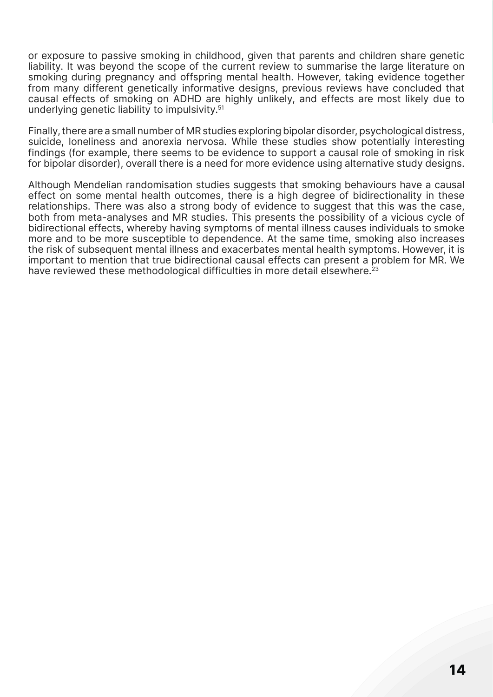or exposure to passive smoking in childhood, given that parents and children share genetic liability. It was beyond the scope of the current review to summarise the large literature on smoking during pregnancy and offspring mental health. However, taking evidence together from many different genetically informative designs, previous reviews have concluded that causal effects of smoking on ADHD are highly unlikely, and effects are most likely due to underlying genetic liability to impulsivity.51

Finally, there are a small number of MR studies exploring bipolar disorder, psychological distress, suicide, loneliness and anorexia nervosa. While these studies show potentially interesting findings (for example, there seems to be evidence to support a causal role of smoking in risk for bipolar disorder), overall there is a need for more evidence using alternative study designs.

Although Mendelian randomisation studies suggests that smoking behaviours have a causal effect on some mental health outcomes, there is a high degree of bidirectionality in these relationships. There was also a strong body of evidence to suggest that this was the case, both from meta-analyses and MR studies. This presents the possibility of a vicious cycle of bidirectional effects, whereby having symptoms of mental illness causes individuals to smoke more and to be more susceptible to dependence. At the same time, smoking also increases the risk of subsequent mental illness and exacerbates mental health symptoms. However, it is important to mention that true bidirectional causal effects can present a problem for MR. We have reviewed these methodological difficulties in more detail elsewhere.<sup>23</sup>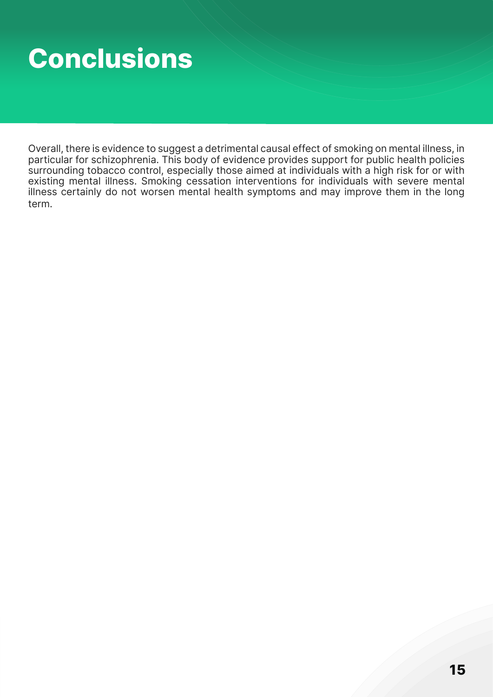## <span id="page-14-0"></span>**Conclusions**

Overall, there is evidence to suggest a detrimental causal effect of smoking on mental illness, in particular for schizophrenia. This body of evidence provides support for public health policies surrounding tobacco control, especially those aimed at individuals with a high risk for or with existing mental illness. Smoking cessation interventions for individuals with severe mental illness certainly do not worsen mental health symptoms and may improve them in the long term.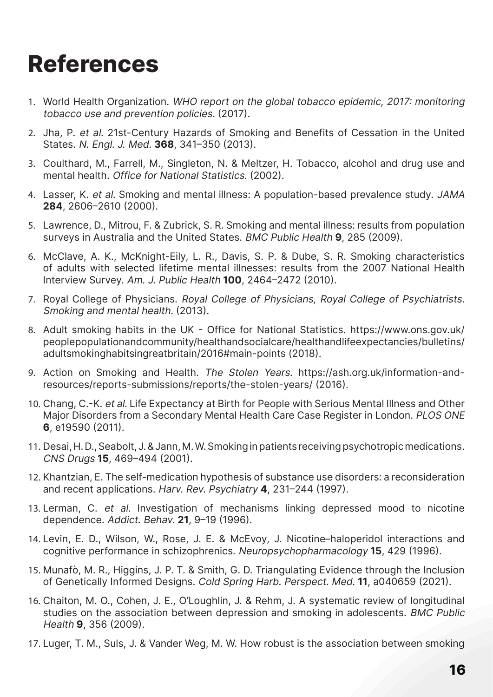## <span id="page-15-0"></span>**References**

- 1. World Health Organization. WHO report on the global tobacco epidemic, 2017: monitoring tobacco use and prevention policies. (2017).
- 2. Jha, P. et al. 21st-Century Hazards of Smoking and Benefits of Cessation in the United States. N. Engl. J. Med. **368**, 341–350 (2013).
- 3. Coulthard, M., Farrell, M., Singleton, N. & Meltzer, H. Tobacco, alcohol and drug use and mental health. Office for National Statistics. (2002).
- 4. Lasser, K. et al. Smoking and mental illness: A population-based prevalence study. JAMA **284**, 2606–2610 (2000).
- 5. Lawrence, D., Mitrou, F. & Zubrick, S. R. Smoking and mental illness: results from population surveys in Australia and the United States. BMC Public Health **9**, 285 (2009).
- 6. McClave, A. K., McKnight-Eily, L. R., Davis, S. P. & Dube, S. R. Smoking characteristics of adults with selected lifetime mental illnesses: results from the 2007 National Health Interview Survey. Am. J. Public Health **100**, 2464–2472 (2010).
- 7. Royal College of Physicians. Royal College of Physicians, Royal College of Psychiatrists. Smoking and mental health. (2013).
- 8. Adult smoking habits in the UK Office for National Statistics. https://www.ons.gov.uk/ peoplepopulationandcommunity/healthandsocialcare/healthandlifeexpectancies/bulletins/ adultsmokinghabitsingreatbritain/2016#main-points (2018).
- 9. Action on Smoking and Health. The Stolen Years. https://ash.org.uk/information-andresources/reports-submissions/reports/the-stolen-years/ (2016).
- 10. Chang, C.-K. et al. Life Expectancy at Birth for People with Serious Mental Illness and Other Major Disorders from a Secondary Mental Health Care Case Register in London. PLOS ONE **6**, e19590 (2011).
- 11. Desai, H. D., Seabolt, J. & Jann, M. W. Smoking in patients receiving psychotropic medications. CNS Drugs **15**, 469–494 (2001).
- 12. Khantzian, E. The self-medication hypothesis of substance use disorders: a reconsideration and recent applications. Harv. Rev. Psychiatry **4**, 231–244 (1997).
- 13. Lerman, C. et al. Investigation of mechanisms linking depressed mood to nicotine dependence. Addict. Behav. **21**, 9–19 (1996).
- 14. Levin, E. D., Wilson, W., Rose, J. E. & McEvoy, J. Nicotine–haloperidol interactions and cognitive performance in schizophrenics. Neuropsychopharmacology **15**, 429 (1996).
- 15. Munafò, M. R., Higgins, J. P. T. & Smith, G. D. Triangulating Evidence through the Inclusion of Genetically Informed Designs. Cold Spring Harb. Perspect. Med. **11**, a040659 (2021).
- 16. Chaiton, M. O., Cohen, J. E., O'Loughlin, J. & Rehm, J. A systematic review of longitudinal studies on the association between depression and smoking in adolescents. BMC Public Health **9**, 356 (2009).
- 17. Luger, T. M., Suls, J. & Vander Weg, M. W. How robust is the association between smoking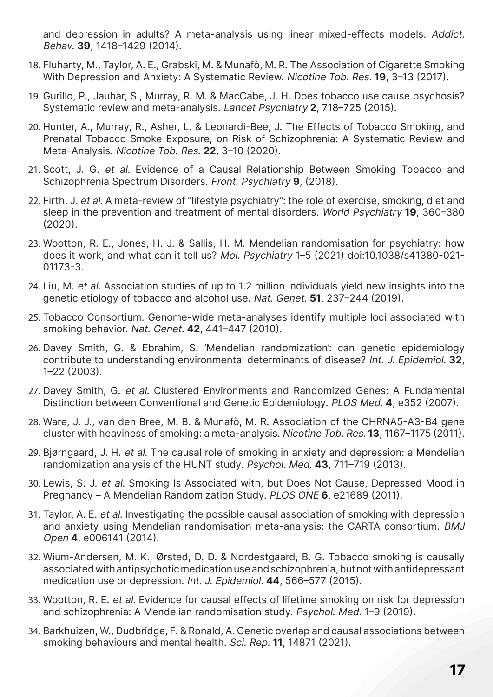and depression in adults? A meta-analysis using linear mixed-effects models. Addict. Behav. **39**, 1418–1429 (2014).

- 18. Fluharty, M., Taylor, A. E., Grabski, M. & Munafò, M. R. The Association of Cigarette Smoking With Depression and Anxiety: A Systematic Review. Nicotine Tob. Res. **19**, 3–13 (2017).
- 19. Gurillo, P., Jauhar, S., Murray, R. M. & MacCabe, J. H. Does tobacco use cause psychosis? Systematic review and meta-analysis. Lancet Psychiatry **2**, 718–725 (2015).
- 20. Hunter, A., Murray, R., Asher, L. & Leonardi-Bee, J. The Effects of Tobacco Smoking, and Prenatal Tobacco Smoke Exposure, on Risk of Schizophrenia: A Systematic Review and Meta-Analysis. Nicotine Tob. Res. **22**, 3–10 (2020).
- 21. Scott, J. G. et al. Evidence of a Causal Relationship Between Smoking Tobacco and Schizophrenia Spectrum Disorders. Front. Psychiatry **9**, (2018).
- 22. Firth, J. et al. A meta-review of "lifestyle psychiatry": the role of exercise, smoking, diet and sleep in the prevention and treatment of mental disorders. World Psychiatry **19**, 360–380 (2020).
- 23. Wootton, R. E., Jones, H. J. & Sallis, H. M. Mendelian randomisation for psychiatry: how does it work, and what can it tell us? Mol. Psychiatry 1–5 (2021) doi:10.1038/s41380-021- 01173-3.
- 24. Liu, M. et al. Association studies of up to 1.2 million individuals yield new insights into the genetic etiology of tobacco and alcohol use. Nat. Genet. **51**, 237–244 (2019).
- 25. Tobacco Consortium. Genome-wide meta-analyses identify multiple loci associated with smoking behavior. Nat. Genet. **42**, 441–447 (2010).
- 26. Davey Smith, G. & Ebrahim, S. 'Mendelian randomization': can genetic epidemiology contribute to understanding environmental determinants of disease? Int. J. Epidemiol. **32**, 1–22 (2003).
- 27. Davey Smith, G. et al. Clustered Environments and Randomized Genes: A Fundamental Distinction between Conventional and Genetic Epidemiology. PLOS Med. **4**, e352 (2007).
- 28. Ware, J. J., van den Bree, M. B. & Munafò, M. R. Association of the CHRNA5-A3-B4 gene cluster with heaviness of smoking: a meta-analysis. Nicotine Tob. Res. **13**, 1167–1175 (2011).
- 29. Bjørngaard, J. H. et al. The causal role of smoking in anxiety and depression: a Mendelian randomization analysis of the HUNT study. Psychol. Med. **43**, 711–719 (2013).
- 30. Lewis, S. J. et al. Smoking Is Associated with, but Does Not Cause, Depressed Mood in Pregnancy – A Mendelian Randomization Study. PLOS ONE **6**, e21689 (2011).
- 31. Taylor, A. E. et al. Investigating the possible causal association of smoking with depression and anxiety using Mendelian randomisation meta-analysis: the CARTA consortium. BMJ Open **4**, e006141 (2014).
- 32. Wium-Andersen, M. K., Ørsted, D. D. & Nordestgaard, B. G. Tobacco smoking is causally associated with antipsychotic medication use and schizophrenia, but not with antidepressant medication use or depression. Int. J. Epidemiol. **44**, 566–577 (2015).
- 33. Wootton, R. E. et al. Evidence for causal effects of lifetime smoking on risk for depression and schizophrenia: A Mendelian randomisation study. Psychol. Med. 1–9 (2019).
- 34. Barkhuizen, W., Dudbridge, F. & Ronald, A. Genetic overlap and causal associations between smoking behaviours and mental health. Sci. Rep. **11**, 14871 (2021).